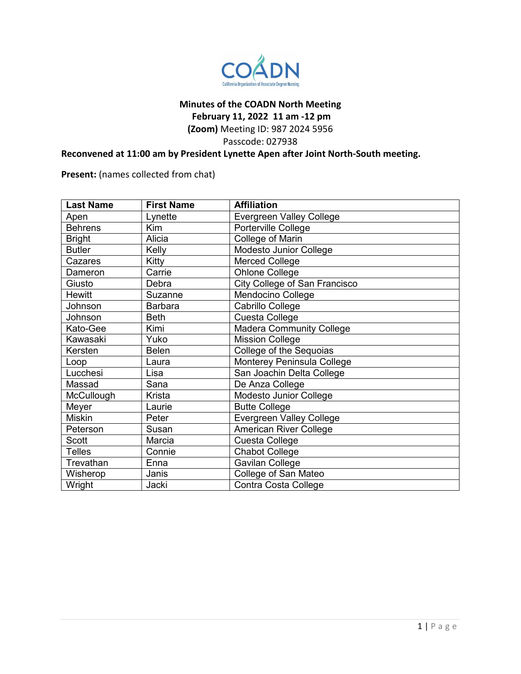

#### **Minutes of the COADN North Meeting**

**February 11, 2022 11 am -12 pm**

**(Zoom)** Meeting ID: 987 2024 5956

Passcode: 027938

# **Reconvened at 11:00 am by President Lynette Apen after Joint North-South meeting.**

**Present:** (names collected from chat)

| <b>Last Name</b> | <b>First Name</b> | <b>Affiliation</b>              |
|------------------|-------------------|---------------------------------|
| Apen             | Lynette           | <b>Evergreen Valley College</b> |
| <b>Behrens</b>   | Kim               | Porterville College             |
| <b>Bright</b>    | Alicia            | College of Marin                |
| <b>Butler</b>    | Kelly             | Modesto Junior College          |
| Cazares          | Kitty             | <b>Merced College</b>           |
| Dameron          | Carrie            | <b>Ohlone College</b>           |
| Giusto           | Debra             | City College of San Francisco   |
| <b>Hewitt</b>    | Suzanne           | Mendocino College               |
| Johnson          | <b>Barbara</b>    | Cabrillo College                |
| Johnson          | <b>Beth</b>       | Cuesta College                  |
| Kato-Gee         | Kimi              | <b>Madera Community College</b> |
| Kawasaki         | Yuko              | <b>Mission College</b>          |
| Kersten          | <b>Belen</b>      | College of the Sequoias         |
| Loop             | Laura             | Monterey Peninsula College      |
| Lucchesi         | Lisa              | San Joachin Delta College       |
| Massad           | Sana              | De Anza College                 |
| McCullough       | Krista            | Modesto Junior College          |
| Meyer            | Laurie            | <b>Butte College</b>            |
| <b>Miskin</b>    | Peter             | <b>Evergreen Valley College</b> |
| Peterson         | Susan             | American River College          |
| <b>Scott</b>     | Marcia            | Cuesta College                  |
| <b>Telles</b>    | Connie            | <b>Chabot College</b>           |
| Trevathan        | Enna              | Gavilan College                 |
| Wisherop         | Janis             | College of San Mateo            |
| Wright           | Jacki             | Contra Costa College            |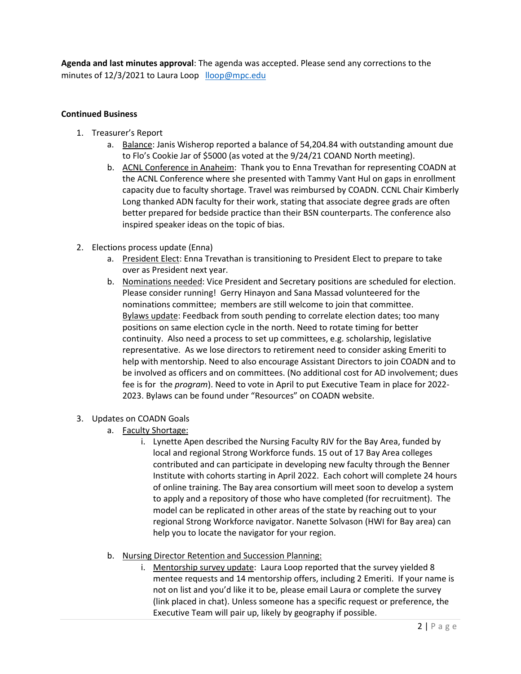**Agenda and last minutes approval**: The agenda was accepted. Please send any corrections to the minutes of 12/3/2021 to Laura Loop [lloop@mpc.edu](mailto:lloop@mpc.edu)

## **Continued Business**

- 1. Treasurer's Report
	- a. Balance: Janis Wisherop reported a balance of 54,204.84 with outstanding amount due to Flo's Cookie Jar of \$5000 (as voted at the 9/24/21 COAND North meeting).
	- b. ACNL Conference in Anaheim: Thank you to Enna Trevathan for representing COADN at the ACNL Conference where she presented with Tammy Vant Hul on gaps in enrollment capacity due to faculty shortage. Travel was reimbursed by COADN. CCNL Chair Kimberly Long thanked ADN faculty for their work, stating that associate degree grads are often better prepared for bedside practice than their BSN counterparts. The conference also inspired speaker ideas on the topic of bias.
- 2. Elections process update (Enna)
	- a. President Elect: Enna Trevathan is transitioning to President Elect to prepare to take over as President next year.
	- b. Nominations needed: Vice President and Secretary positions are scheduled for election. Please consider running! Gerry Hinayon and Sana Massad volunteered for the nominations committee; members are still welcome to join that committee. Bylaws update: Feedback from south pending to correlate election dates; too many positions on same election cycle in the north. Need to rotate timing for better continuity. Also need a process to set up committees, e.g. scholarship, legislative representative. As we lose directors to retirement need to consider asking Emeriti to help with mentorship. Need to also encourage Assistant Directors to join COADN and to be involved as officers and on committees. (No additional cost for AD involvement; dues fee is for the *program*). Need to vote in April to put Executive Team in place for 2022- 2023. Bylaws can be found under "Resources" on COADN website.
- 3. Updates on COADN Goals
	- a. Faculty Shortage:
		- i. Lynette Apen described the Nursing Faculty RJV for the Bay Area, funded by local and regional Strong Workforce funds. 15 out of 17 Bay Area colleges contributed and can participate in developing new faculty through the Benner Institute with cohorts starting in April 2022. Each cohort will complete 24 hours of online training. The Bay area consortium will meet soon to develop a system to apply and a repository of those who have completed (for recruitment). The model can be replicated in other areas of the state by reaching out to your regional Strong Workforce navigator. Nanette Solvason (HWI for Bay area) can help you to locate the navigator for your region.
	- b. Nursing Director Retention and Succession Planning:
		- i. Mentorship survey update: Laura Loop reported that the survey yielded 8 mentee requests and 14 mentorship offers, including 2 Emeriti. If your name is not on list and you'd like it to be, please email Laura or complete the survey (link placed in chat). Unless someone has a specific request or preference, the Executive Team will pair up, likely by geography if possible.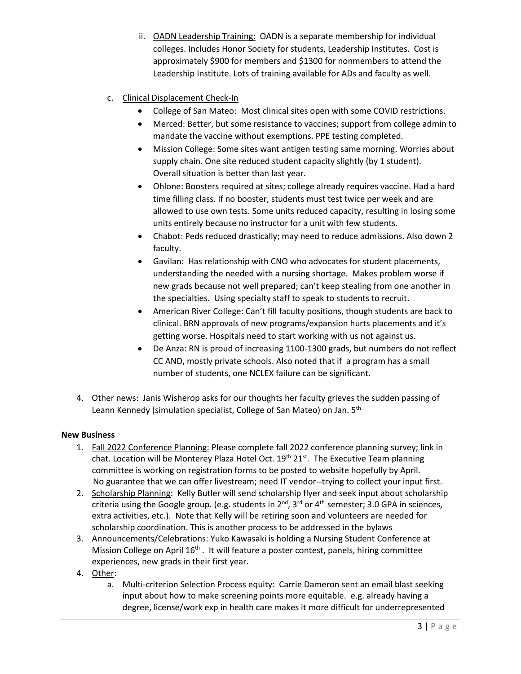- ii. OADN Leadership Training: OADN is a separate membership for individual colleges. Includes Honor Society for students, Leadership Institutes. Cost is approximately \$900 for members and \$1300 for nonmembers to attend the Leadership Institute. Lots of training available for ADs and faculty as well.
- c. Clinical Displacement Check-In
	- College of San Mateo: Most clinical sites open with some COVID restrictions.
	- Merced: Better, but some resistance to vaccines; support from college admin to mandate the vaccine without exemptions. PPE testing completed.
	- Mission College: Some sites want antigen testing same morning. Worries about supply chain. One site reduced student capacity slightly (by 1 student). Overall situation is better than last year.
	- Ohlone: Boosters required at sites; college already requires vaccine. Had a hard time filling class. If no booster, students must test twice per week and are allowed to use own tests. Some units reduced capacity, resulting in losing some units entirely because no instructor for a unit with few students.
	- Chabot: Peds reduced drastically; may need to reduce admissions. Also down 2 faculty.
	- Gavilan: Has relationship with CNO who advocates for student placements, understanding the needed with a nursing shortage. Makes problem worse if new grads because not well prepared; can't keep stealing from one another in the specialties. Using specialty staff to speak to students to recruit.
	- American River College: Can't fill faculty positions, though students are back to clinical. BRN approvals of new programs/expansion hurts placements and it's getting worse. Hospitals need to start working with us not against us.
	- De Anza: RN is proud of increasing 1100-1300 grads, but numbers do not reflect CC AND, mostly private schools. Also noted that if a program has a small number of students, one NCLEX failure can be significant.
- 4. Other news: Janis Wisherop asks for our thoughts her faculty grieves the sudden passing of Leann Kennedy (simulation specialist, College of San Mateo) on Jan. 5th.

# **New Business**

- 1. Fall 2022 Conference Planning: Please complete fall 2022 conference planning survey; link in chat. Location will be Monterey Plaza Hotel Oct. 19<sup>th</sup> 21<sup>st</sup>. The Executive Team planning committee is working on registration forms to be posted to website hopefully by April. No guarantee that we can offer livestream; need IT vendor--trying to collect your input first.
- 2. Scholarship Planning: Kelly Butler will send scholarship flyer and seek input about scholarship criteria using the Google group. (e.g. students in  $2^{nd}$ ,  $3^{rd}$  or  $4^{th}$  semester; 3.0 GPA in sciences, extra activities, etc.). Note that Kelly will be retiring soon and volunteers are needed for scholarship coordination. This is another process to be addressed in the bylaws
- 3. Announcements/Celebrations: Yuko Kawasaki is holding a Nursing Student Conference at Mission College on April 16<sup>th</sup>. It will feature a poster contest, panels, hiring committee experiences, new grads in their first year.
- 4. Other:
	- a. Multi-criterion Selection Process equity: Carrie Dameron sent an email blast seeking input about how to make screening points more equitable. e.g. already having a degree, license/work exp in health care makes it more difficult for underrepresented